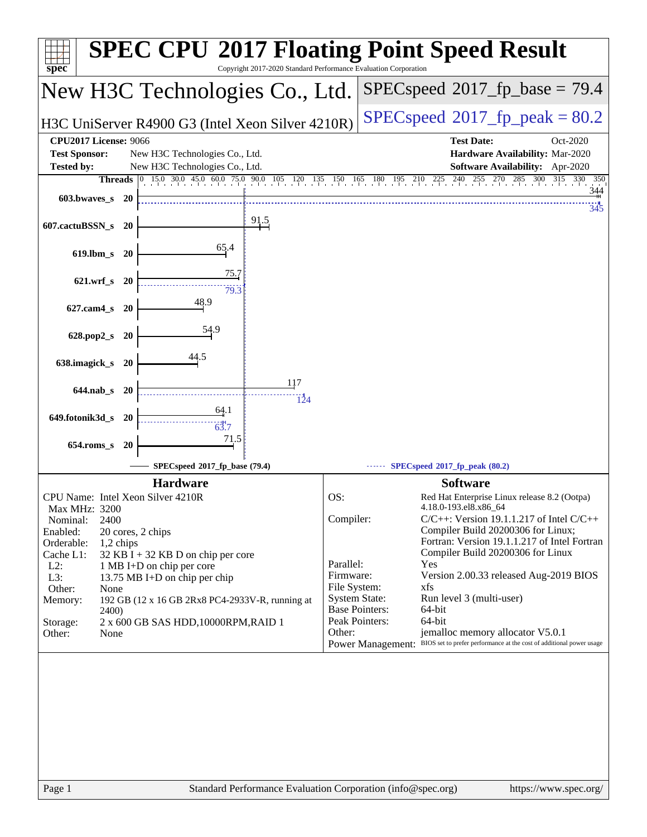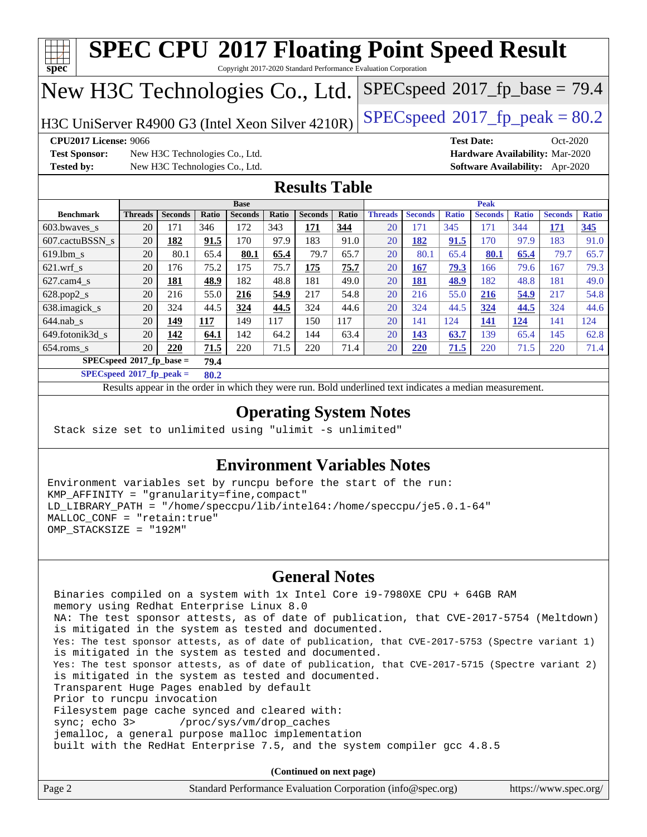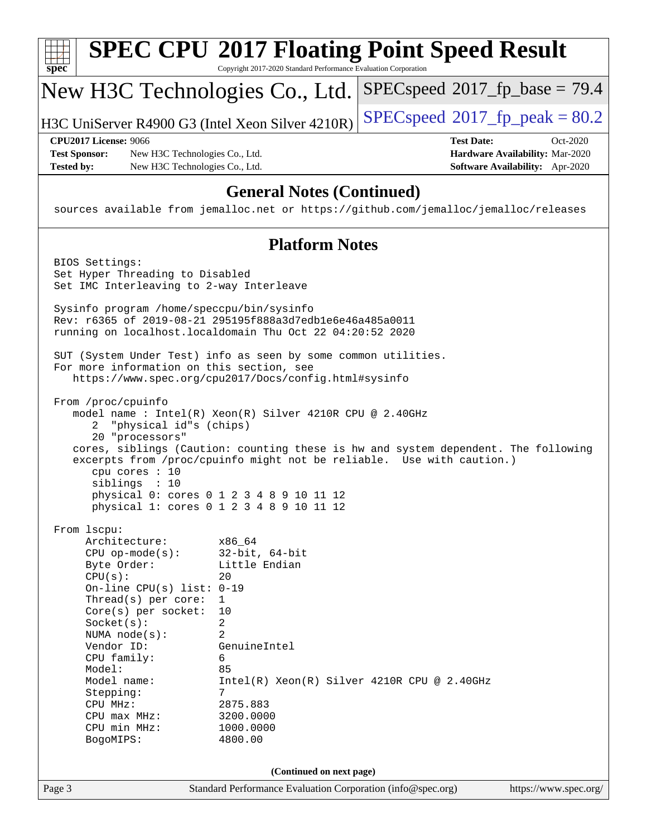| $spec^*$                                                                                                                                                                                                                                                                                                                     | Copyright 2017-2020 Standard Performance Evaluation Corporation                                                                                                                                                       | <b>SPEC CPU®2017 Floating Point Speed Result</b>                                                                                                            |  |  |
|------------------------------------------------------------------------------------------------------------------------------------------------------------------------------------------------------------------------------------------------------------------------------------------------------------------------------|-----------------------------------------------------------------------------------------------------------------------------------------------------------------------------------------------------------------------|-------------------------------------------------------------------------------------------------------------------------------------------------------------|--|--|
| New H3C Technologies Co., Ltd.                                                                                                                                                                                                                                                                                               |                                                                                                                                                                                                                       | $SPEC speed^{\circ}2017\_fp\_base = 79.4$                                                                                                                   |  |  |
| H3C UniServer R4900 G3 (Intel Xeon Silver 4210R)                                                                                                                                                                                                                                                                             |                                                                                                                                                                                                                       | $SPEC speed^{\circ}2017$ [p_peak = 80.2                                                                                                                     |  |  |
| <b>CPU2017 License: 9066</b><br><b>Test Sponsor:</b><br>New H3C Technologies Co., Ltd.<br><b>Tested by:</b><br>New H3C Technologies Co., Ltd.                                                                                                                                                                                |                                                                                                                                                                                                                       | <b>Test Date:</b><br>Oct-2020<br>Hardware Availability: Mar-2020<br>Software Availability: Apr-2020                                                         |  |  |
| <b>General Notes (Continued)</b><br>sources available from jemalloc.net or https://github.com/jemalloc/jemalloc/releases                                                                                                                                                                                                     |                                                                                                                                                                                                                       |                                                                                                                                                             |  |  |
|                                                                                                                                                                                                                                                                                                                              | <b>Platform Notes</b>                                                                                                                                                                                                 |                                                                                                                                                             |  |  |
| BIOS Settings:<br>Set Hyper Threading to Disabled<br>Set IMC Interleaving to 2-way Interleave                                                                                                                                                                                                                                |                                                                                                                                                                                                                       |                                                                                                                                                             |  |  |
|                                                                                                                                                                                                                                                                                                                              | Sysinfo program /home/speccpu/bin/sysinfo<br>Rev: r6365 of 2019-08-21 295195f888a3d7edble6e46a485a0011<br>running on localhost.localdomain Thu Oct 22 04:20:52 2020                                                   |                                                                                                                                                             |  |  |
| SUT (System Under Test) info as seen by some common utilities.<br>For more information on this section, see<br>https://www.spec.org/cpu2017/Docs/config.html#sysinfo                                                                                                                                                         |                                                                                                                                                                                                                       |                                                                                                                                                             |  |  |
| From /proc/cpuinfo<br>"physical id"s (chips)<br>2<br>20 "processors"<br>cpu cores : 10<br>siblings : 10                                                                                                                                                                                                                      | model name : Intel(R) Xeon(R) Silver 4210R CPU @ 2.40GHz<br>physical 0: cores 0 1 2 3 4 8 9 10 11 12<br>physical 1: cores 0 1 2 3 4 8 9 10 11 12                                                                      | cores, siblings (Caution: counting these is hw and system dependent. The following<br>excerpts from /proc/cpuinfo might not be reliable. Use with caution.) |  |  |
| From lscpu:<br>Architecture:<br>$CPU$ op-mode( $s$ ):<br>Byte Order:<br>CPU(s):<br>On-line CPU(s) list: 0-19<br>Thread(s) per core:<br>Core(s) per socket:<br>Socket(s):<br>NUMA $node(s)$ :<br>Vendor ID:<br>CPU family:<br>Model:<br>Model name:<br>Stepping:<br>CPU MHz:<br>$CPU$ max $MHz:$<br>CPU min MHz:<br>BogoMIPS: | x86_64<br>$32$ -bit, $64$ -bit<br>Little Endian<br>20<br>$\mathbf{1}$<br>10<br>2<br>2<br>GenuineIntel<br>6<br>85<br>Intel(R) Xeon(R) Silver 4210R CPU @ 2.40GHz<br>7<br>2875.883<br>3200.0000<br>1000.0000<br>4800.00 |                                                                                                                                                             |  |  |
| (Continued on next page)                                                                                                                                                                                                                                                                                                     |                                                                                                                                                                                                                       |                                                                                                                                                             |  |  |
| Page 3                                                                                                                                                                                                                                                                                                                       | Standard Performance Evaluation Corporation (info@spec.org)                                                                                                                                                           | https://www.spec.org/                                                                                                                                       |  |  |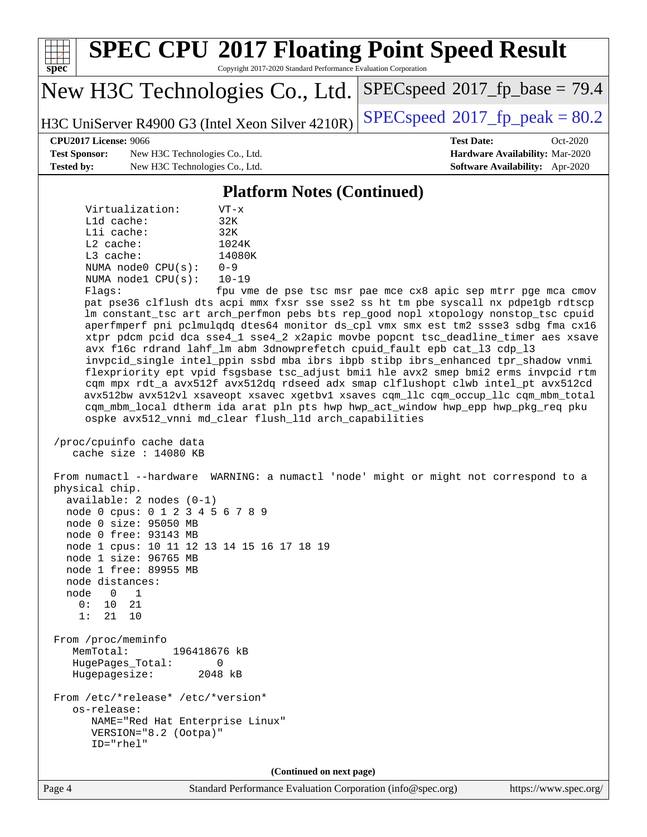

Page 4 Standard Performance Evaluation Corporation [\(info@spec.org\)](mailto:info@spec.org) <https://www.spec.org/>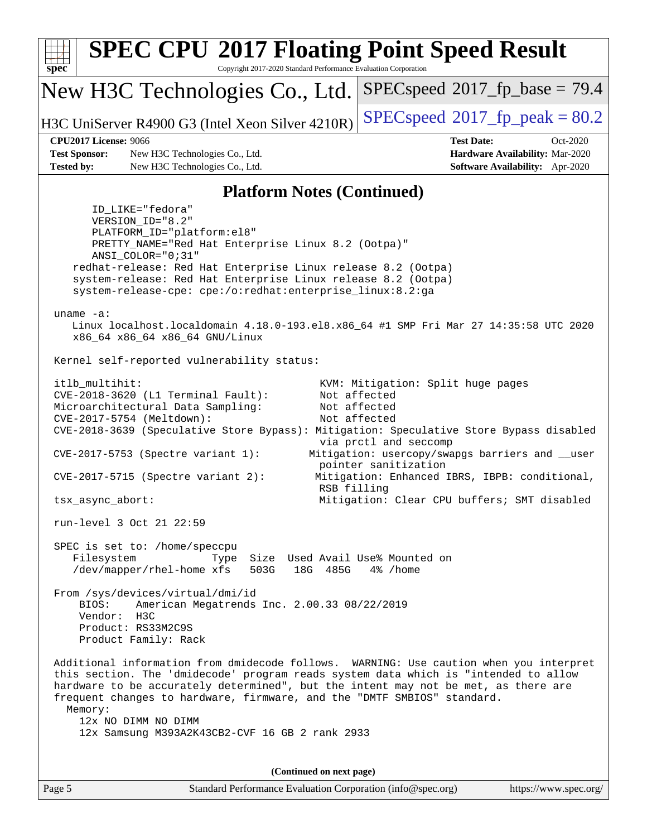| $spec^*$                                                                                                                                                                                                                                                                                                                                                                                                                           | <b>SPEC CPU®2017 Floating Point Speed Result</b><br>Copyright 2017-2020 Standard Performance Evaluation Corporation                                                                                                                                                                                                                  |                                                                                                                                                                                                                                                                                       |
|------------------------------------------------------------------------------------------------------------------------------------------------------------------------------------------------------------------------------------------------------------------------------------------------------------------------------------------------------------------------------------------------------------------------------------|--------------------------------------------------------------------------------------------------------------------------------------------------------------------------------------------------------------------------------------------------------------------------------------------------------------------------------------|---------------------------------------------------------------------------------------------------------------------------------------------------------------------------------------------------------------------------------------------------------------------------------------|
|                                                                                                                                                                                                                                                                                                                                                                                                                                    | New H3C Technologies Co., Ltd.                                                                                                                                                                                                                                                                                                       | $SPEC speed^{\circ}2017\_fp\_base = 79.4$                                                                                                                                                                                                                                             |
|                                                                                                                                                                                                                                                                                                                                                                                                                                    | H3C UniServer R4900 G3 (Intel Xeon Silver 4210R)                                                                                                                                                                                                                                                                                     | $SPEC speed^{\circ}2017$ [p_peak = 80.2                                                                                                                                                                                                                                               |
|                                                                                                                                                                                                                                                                                                                                                                                                                                    | <b>CPU2017 License: 9066</b>                                                                                                                                                                                                                                                                                                         | <b>Test Date:</b><br>$Oct-2020$                                                                                                                                                                                                                                                       |
|                                                                                                                                                                                                                                                                                                                                                                                                                                    | <b>Test Sponsor:</b><br>New H3C Technologies Co., Ltd.                                                                                                                                                                                                                                                                               | Hardware Availability: Mar-2020                                                                                                                                                                                                                                                       |
| <b>Tested by:</b>                                                                                                                                                                                                                                                                                                                                                                                                                  | New H3C Technologies Co., Ltd.                                                                                                                                                                                                                                                                                                       | Software Availability: Apr-2020                                                                                                                                                                                                                                                       |
|                                                                                                                                                                                                                                                                                                                                                                                                                                    | <b>Platform Notes (Continued)</b>                                                                                                                                                                                                                                                                                                    |                                                                                                                                                                                                                                                                                       |
|                                                                                                                                                                                                                                                                                                                                                                                                                                    | ID_LIKE="fedora"<br>VERSION_ID="8.2"<br>PLATFORM_ID="platform:el8"<br>PRETTY_NAME="Red Hat Enterprise Linux 8.2 (Ootpa)"<br>ANSI COLOR="0;31"<br>redhat-release: Red Hat Enterprise Linux release 8.2 (Ootpa)<br>system-release: Red Hat Enterprise Linux release 8.2 (Ootpa)                                                        |                                                                                                                                                                                                                                                                                       |
|                                                                                                                                                                                                                                                                                                                                                                                                                                    | system-release-cpe: cpe:/o:redhat:enterprise_linux:8.2:ga                                                                                                                                                                                                                                                                            |                                                                                                                                                                                                                                                                                       |
| uname $-a$ :<br>Linux localhost.localdomain 4.18.0-193.el8.x86_64 #1 SMP Fri Mar 27 14:35:58 UTC 2020<br>x86_64 x86_64 x86_64 GNU/Linux                                                                                                                                                                                                                                                                                            |                                                                                                                                                                                                                                                                                                                                      |                                                                                                                                                                                                                                                                                       |
|                                                                                                                                                                                                                                                                                                                                                                                                                                    | Kernel self-reported vulnerability status:                                                                                                                                                                                                                                                                                           |                                                                                                                                                                                                                                                                                       |
|                                                                                                                                                                                                                                                                                                                                                                                                                                    | itlb_multihit:<br>CVE-2018-3620 (L1 Terminal Fault):<br>Microarchitectural Data Sampling:<br>CVE-2017-5754 (Meltdown):<br>CVE-2018-3639 (Speculative Store Bypass): Mitigation: Speculative Store Bypass disabled<br>$CVE-2017-5753$ (Spectre variant 1):<br>$CVE-2017-5715$ (Spectre variant 2):<br>RSB filling<br>tsx_async_abort: | KVM: Mitigation: Split huge pages<br>Not affected<br>Not affected<br>Not affected<br>via prctl and seccomp<br>Mitigation: usercopy/swapgs barriers and __user<br>pointer sanitization<br>Mitigation: Enhanced IBRS, IBPB: conditional,<br>Mitigation: Clear CPU buffers; SMT disabled |
|                                                                                                                                                                                                                                                                                                                                                                                                                                    | run-level 3 Oct 21 22:59                                                                                                                                                                                                                                                                                                             |                                                                                                                                                                                                                                                                                       |
| SPEC is set to: /home/speccpu<br>Size Used Avail Use% Mounted on<br>Filesystem<br>Type<br>/dev/mapper/rhel-home xfs<br>503G<br>18G 485G<br>4% /home<br>From /sys/devices/virtual/dmi/id<br>BIOS:<br>American Megatrends Inc. 2.00.33 08/22/2019<br>Vendor: H3C<br>Product: RS33M2C9S                                                                                                                                               |                                                                                                                                                                                                                                                                                                                                      |                                                                                                                                                                                                                                                                                       |
|                                                                                                                                                                                                                                                                                                                                                                                                                                    | Product Family: Rack                                                                                                                                                                                                                                                                                                                 |                                                                                                                                                                                                                                                                                       |
| Additional information from dmidecode follows. WARNING: Use caution when you interpret<br>this section. The 'dmidecode' program reads system data which is "intended to allow<br>hardware to be accurately determined", but the intent may not be met, as there are<br>frequent changes to hardware, firmware, and the "DMTF SMBIOS" standard.<br>Memory:<br>12x NO DIMM NO DIMM<br>12x Samsung M393A2K43CB2-CVF 16 GB 2 rank 2933 |                                                                                                                                                                                                                                                                                                                                      |                                                                                                                                                                                                                                                                                       |
|                                                                                                                                                                                                                                                                                                                                                                                                                                    |                                                                                                                                                                                                                                                                                                                                      |                                                                                                                                                                                                                                                                                       |
|                                                                                                                                                                                                                                                                                                                                                                                                                                    | (Continued on next page)                                                                                                                                                                                                                                                                                                             |                                                                                                                                                                                                                                                                                       |
| Page 5                                                                                                                                                                                                                                                                                                                                                                                                                             | Standard Performance Evaluation Corporation (info@spec.org)                                                                                                                                                                                                                                                                          | https://www.spec.org/                                                                                                                                                                                                                                                                 |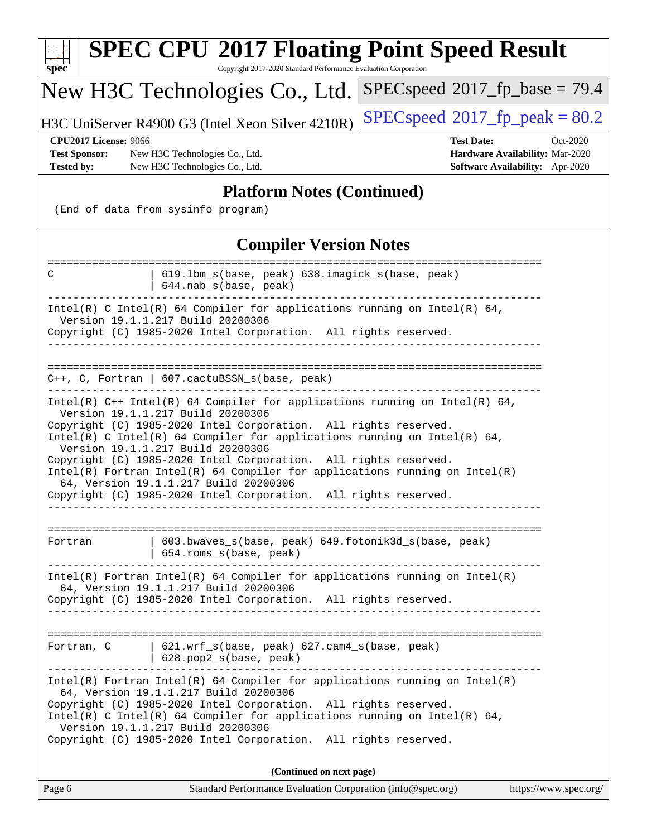| spec                                                                                                                                                                             | <b>SPEC CPU®2017 Floating Point Speed Result</b><br>Copyright 2017-2020 Standard Performance Evaluation Corporation                                                                                                                                                                                                                                                                                                                                                                                                                                                                       |                                           |                                                                                |
|----------------------------------------------------------------------------------------------------------------------------------------------------------------------------------|-------------------------------------------------------------------------------------------------------------------------------------------------------------------------------------------------------------------------------------------------------------------------------------------------------------------------------------------------------------------------------------------------------------------------------------------------------------------------------------------------------------------------------------------------------------------------------------------|-------------------------------------------|--------------------------------------------------------------------------------|
|                                                                                                                                                                                  | New H3C Technologies Co., Ltd.                                                                                                                                                                                                                                                                                                                                                                                                                                                                                                                                                            | $SPEC speed^{\circ}2017\_fp\_base = 79.4$ |                                                                                |
|                                                                                                                                                                                  | H3C UniServer R4900 G3 (Intel Xeon Silver 4210R)                                                                                                                                                                                                                                                                                                                                                                                                                                                                                                                                          | $SPEC speed^{\circ}2017$ [p_peak = 80.2   |                                                                                |
| <b>CPU2017 License: 9066</b><br><b>Test Sponsor:</b><br><b>Tested by:</b>                                                                                                        | New H3C Technologies Co., Ltd.<br>New H3C Technologies Co., Ltd.                                                                                                                                                                                                                                                                                                                                                                                                                                                                                                                          | <b>Test Date:</b>                         | Oct-2020<br>Hardware Availability: Mar-2020<br>Software Availability: Apr-2020 |
|                                                                                                                                                                                  | <b>Platform Notes (Continued)</b>                                                                                                                                                                                                                                                                                                                                                                                                                                                                                                                                                         |                                           |                                                                                |
|                                                                                                                                                                                  | (End of data from sysinfo program)                                                                                                                                                                                                                                                                                                                                                                                                                                                                                                                                                        |                                           |                                                                                |
|                                                                                                                                                                                  | <b>Compiler Version Notes</b>                                                                                                                                                                                                                                                                                                                                                                                                                                                                                                                                                             |                                           |                                                                                |
| C                                                                                                                                                                                | 619.1bm_s(base, peak) 638.imagick_s(base, peak)<br>644.nab_s(base, peak)                                                                                                                                                                                                                                                                                                                                                                                                                                                                                                                  |                                           |                                                                                |
| Intel(R) C Intel(R) 64 Compiler for applications running on Intel(R) 64,<br>Version 19.1.1.217 Build 20200306<br>Copyright (C) 1985-2020 Intel Corporation. All rights reserved. |                                                                                                                                                                                                                                                                                                                                                                                                                                                                                                                                                                                           |                                           |                                                                                |
|                                                                                                                                                                                  | C++, C, Fortran   607.cactuBSSN_s(base, peak)                                                                                                                                                                                                                                                                                                                                                                                                                                                                                                                                             |                                           |                                                                                |
|                                                                                                                                                                                  | Intel(R) $C++$ Intel(R) 64 Compiler for applications running on Intel(R) 64,<br>Version 19.1.1.217 Build 20200306<br>Copyright (C) 1985-2020 Intel Corporation. All rights reserved.<br>Intel(R) C Intel(R) 64 Compiler for applications running on Intel(R) 64,<br>Version 19.1.1.217 Build 20200306<br>Copyright (C) 1985-2020 Intel Corporation. All rights reserved.<br>$Intel(R)$ Fortran Intel(R) 64 Compiler for applications running on Intel(R)<br>64, Version 19.1.1.217 Build 20200306<br>Copyright (C) 1985-2020 Intel Corporation. All rights reserved.<br>----------------- |                                           |                                                                                |
| Fortran                                                                                                                                                                          | 603.bwaves_s(base, peak) 649.fotonik3d_s(base, peak)<br>654.roms_s(base, peak)                                                                                                                                                                                                                                                                                                                                                                                                                                                                                                            |                                           |                                                                                |
|                                                                                                                                                                                  | Intel(R) Fortran Intel(R) 64 Compiler for applications running on Intel(R)<br>64, Version 19.1.1.217 Build 20200306<br>Copyright (C) 1985-2020 Intel Corporation. All rights reserved.                                                                                                                                                                                                                                                                                                                                                                                                    |                                           |                                                                                |
| Fortran, C                                                                                                                                                                       | $621.wrf_s(base, peak) 627.cam4_s(base, peak)$<br>628.pop2_s(base, peak)                                                                                                                                                                                                                                                                                                                                                                                                                                                                                                                  |                                           |                                                                                |
|                                                                                                                                                                                  | $Intel(R)$ Fortran Intel(R) 64 Compiler for applications running on Intel(R)<br>64, Version 19.1.1.217 Build 20200306<br>Copyright (C) 1985-2020 Intel Corporation. All rights reserved.<br>Intel(R) C Intel(R) 64 Compiler for applications running on Intel(R) 64,<br>Version 19.1.1.217 Build 20200306<br>Copyright (C) 1985-2020 Intel Corporation. All rights reserved.                                                                                                                                                                                                              |                                           |                                                                                |
| (Continued on next page)                                                                                                                                                         |                                                                                                                                                                                                                                                                                                                                                                                                                                                                                                                                                                                           |                                           |                                                                                |
| Page 6                                                                                                                                                                           | Standard Performance Evaluation Corporation (info@spec.org)                                                                                                                                                                                                                                                                                                                                                                                                                                                                                                                               |                                           | https://www.spec.org/                                                          |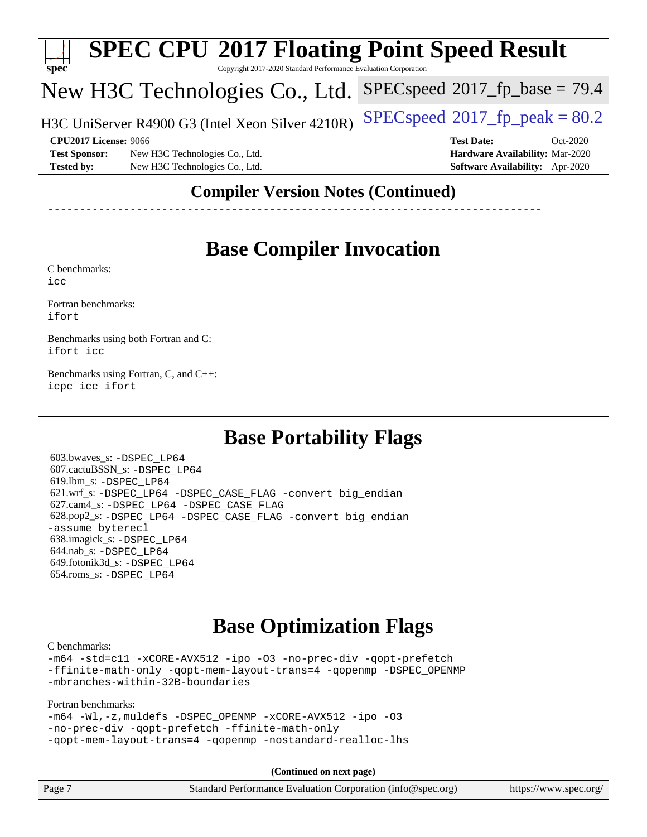

# **[SPEC CPU](http://www.spec.org/auto/cpu2017/Docs/result-fields.html#SPECCPU2017FloatingPointSpeedResult)[2017 Floating Point Speed Result](http://www.spec.org/auto/cpu2017/Docs/result-fields.html#SPECCPU2017FloatingPointSpeedResult)**

Copyright 2017-2020 Standard Performance Evaluation Corporation

### New H3C Technologies Co., Ltd.

H3C UniServer R4900 G3 (Intel Xeon Silver 4210R)  $\big|\operatorname{SPEC}$ speed®[2017\\_fp\\_peak = 8](http://www.spec.org/auto/cpu2017/Docs/result-fields.html#SPECspeed2017fppeak)0.2

 $SPECspeed^{\circ}2017\_fp\_base = 79.4$  $SPECspeed^{\circ}2017\_fp\_base = 79.4$ 

**[Test Sponsor:](http://www.spec.org/auto/cpu2017/Docs/result-fields.html#TestSponsor)** New H3C Technologies Co., Ltd. **[Hardware Availability:](http://www.spec.org/auto/cpu2017/Docs/result-fields.html#HardwareAvailability)** Mar-2020 **[Tested by:](http://www.spec.org/auto/cpu2017/Docs/result-fields.html#Testedby)** New H3C Technologies Co., Ltd. **[Software Availability:](http://www.spec.org/auto/cpu2017/Docs/result-fields.html#SoftwareAvailability)** Apr-2020

**[CPU2017 License:](http://www.spec.org/auto/cpu2017/Docs/result-fields.html#CPU2017License)** 9066 **[Test Date:](http://www.spec.org/auto/cpu2017/Docs/result-fields.html#TestDate)** Oct-2020

#### **[Compiler Version Notes \(Continued\)](http://www.spec.org/auto/cpu2017/Docs/result-fields.html#CompilerVersionNotes)**

------------------------------------------------------------------------------

### **[Base Compiler Invocation](http://www.spec.org/auto/cpu2017/Docs/result-fields.html#BaseCompilerInvocation)**

[C benchmarks](http://www.spec.org/auto/cpu2017/Docs/result-fields.html#Cbenchmarks):

[icc](http://www.spec.org/cpu2017/results/res2020q4/cpu2017-20201027-24318.flags.html#user_CCbase_intel_icc_66fc1ee009f7361af1fbd72ca7dcefbb700085f36577c54f309893dd4ec40d12360134090235512931783d35fd58c0460139e722d5067c5574d8eaf2b3e37e92)

[Fortran benchmarks](http://www.spec.org/auto/cpu2017/Docs/result-fields.html#Fortranbenchmarks): [ifort](http://www.spec.org/cpu2017/results/res2020q4/cpu2017-20201027-24318.flags.html#user_FCbase_intel_ifort_8111460550e3ca792625aed983ce982f94888b8b503583aa7ba2b8303487b4d8a21a13e7191a45c5fd58ff318f48f9492884d4413fa793fd88dd292cad7027ca)

[Benchmarks using both Fortran and C](http://www.spec.org/auto/cpu2017/Docs/result-fields.html#BenchmarksusingbothFortranandC):

[ifort](http://www.spec.org/cpu2017/results/res2020q4/cpu2017-20201027-24318.flags.html#user_CC_FCbase_intel_ifort_8111460550e3ca792625aed983ce982f94888b8b503583aa7ba2b8303487b4d8a21a13e7191a45c5fd58ff318f48f9492884d4413fa793fd88dd292cad7027ca) [icc](http://www.spec.org/cpu2017/results/res2020q4/cpu2017-20201027-24318.flags.html#user_CC_FCbase_intel_icc_66fc1ee009f7361af1fbd72ca7dcefbb700085f36577c54f309893dd4ec40d12360134090235512931783d35fd58c0460139e722d5067c5574d8eaf2b3e37e92)

[Benchmarks using Fortran, C, and C++:](http://www.spec.org/auto/cpu2017/Docs/result-fields.html#BenchmarksusingFortranCandCXX) [icpc](http://www.spec.org/cpu2017/results/res2020q4/cpu2017-20201027-24318.flags.html#user_CC_CXX_FCbase_intel_icpc_c510b6838c7f56d33e37e94d029a35b4a7bccf4766a728ee175e80a419847e808290a9b78be685c44ab727ea267ec2f070ec5dc83b407c0218cded6866a35d07) [icc](http://www.spec.org/cpu2017/results/res2020q4/cpu2017-20201027-24318.flags.html#user_CC_CXX_FCbase_intel_icc_66fc1ee009f7361af1fbd72ca7dcefbb700085f36577c54f309893dd4ec40d12360134090235512931783d35fd58c0460139e722d5067c5574d8eaf2b3e37e92) [ifort](http://www.spec.org/cpu2017/results/res2020q4/cpu2017-20201027-24318.flags.html#user_CC_CXX_FCbase_intel_ifort_8111460550e3ca792625aed983ce982f94888b8b503583aa7ba2b8303487b4d8a21a13e7191a45c5fd58ff318f48f9492884d4413fa793fd88dd292cad7027ca)

#### **[Base Portability Flags](http://www.spec.org/auto/cpu2017/Docs/result-fields.html#BasePortabilityFlags)**

 603.bwaves\_s: [-DSPEC\\_LP64](http://www.spec.org/cpu2017/results/res2020q4/cpu2017-20201027-24318.flags.html#suite_basePORTABILITY603_bwaves_s_DSPEC_LP64) 607.cactuBSSN\_s: [-DSPEC\\_LP64](http://www.spec.org/cpu2017/results/res2020q4/cpu2017-20201027-24318.flags.html#suite_basePORTABILITY607_cactuBSSN_s_DSPEC_LP64) 619.lbm\_s: [-DSPEC\\_LP64](http://www.spec.org/cpu2017/results/res2020q4/cpu2017-20201027-24318.flags.html#suite_basePORTABILITY619_lbm_s_DSPEC_LP64) 621.wrf\_s: [-DSPEC\\_LP64](http://www.spec.org/cpu2017/results/res2020q4/cpu2017-20201027-24318.flags.html#suite_basePORTABILITY621_wrf_s_DSPEC_LP64) [-DSPEC\\_CASE\\_FLAG](http://www.spec.org/cpu2017/results/res2020q4/cpu2017-20201027-24318.flags.html#b621.wrf_s_baseCPORTABILITY_DSPEC_CASE_FLAG) [-convert big\\_endian](http://www.spec.org/cpu2017/results/res2020q4/cpu2017-20201027-24318.flags.html#user_baseFPORTABILITY621_wrf_s_convert_big_endian_c3194028bc08c63ac5d04de18c48ce6d347e4e562e8892b8bdbdc0214820426deb8554edfa529a3fb25a586e65a3d812c835984020483e7e73212c4d31a38223) 627.cam4\_s: [-DSPEC\\_LP64](http://www.spec.org/cpu2017/results/res2020q4/cpu2017-20201027-24318.flags.html#suite_basePORTABILITY627_cam4_s_DSPEC_LP64) [-DSPEC\\_CASE\\_FLAG](http://www.spec.org/cpu2017/results/res2020q4/cpu2017-20201027-24318.flags.html#b627.cam4_s_baseCPORTABILITY_DSPEC_CASE_FLAG) 628.pop2\_s: [-DSPEC\\_LP64](http://www.spec.org/cpu2017/results/res2020q4/cpu2017-20201027-24318.flags.html#suite_basePORTABILITY628_pop2_s_DSPEC_LP64) [-DSPEC\\_CASE\\_FLAG](http://www.spec.org/cpu2017/results/res2020q4/cpu2017-20201027-24318.flags.html#b628.pop2_s_baseCPORTABILITY_DSPEC_CASE_FLAG) [-convert big\\_endian](http://www.spec.org/cpu2017/results/res2020q4/cpu2017-20201027-24318.flags.html#user_baseFPORTABILITY628_pop2_s_convert_big_endian_c3194028bc08c63ac5d04de18c48ce6d347e4e562e8892b8bdbdc0214820426deb8554edfa529a3fb25a586e65a3d812c835984020483e7e73212c4d31a38223) [-assume byterecl](http://www.spec.org/cpu2017/results/res2020q4/cpu2017-20201027-24318.flags.html#user_baseFPORTABILITY628_pop2_s_assume_byterecl_7e47d18b9513cf18525430bbf0f2177aa9bf368bc7a059c09b2c06a34b53bd3447c950d3f8d6c70e3faf3a05c8557d66a5798b567902e8849adc142926523472) 638.imagick\_s: [-DSPEC\\_LP64](http://www.spec.org/cpu2017/results/res2020q4/cpu2017-20201027-24318.flags.html#suite_basePORTABILITY638_imagick_s_DSPEC_LP64) 644.nab\_s: [-DSPEC\\_LP64](http://www.spec.org/cpu2017/results/res2020q4/cpu2017-20201027-24318.flags.html#suite_basePORTABILITY644_nab_s_DSPEC_LP64) 649.fotonik3d\_s: [-DSPEC\\_LP64](http://www.spec.org/cpu2017/results/res2020q4/cpu2017-20201027-24318.flags.html#suite_basePORTABILITY649_fotonik3d_s_DSPEC_LP64) 654.roms\_s: [-DSPEC\\_LP64](http://www.spec.org/cpu2017/results/res2020q4/cpu2017-20201027-24318.flags.html#suite_basePORTABILITY654_roms_s_DSPEC_LP64)

#### **[Base Optimization Flags](http://www.spec.org/auto/cpu2017/Docs/result-fields.html#BaseOptimizationFlags)**

[C benchmarks](http://www.spec.org/auto/cpu2017/Docs/result-fields.html#Cbenchmarks):

[-m64](http://www.spec.org/cpu2017/results/res2020q4/cpu2017-20201027-24318.flags.html#user_CCbase_m64-icc) [-std=c11](http://www.spec.org/cpu2017/results/res2020q4/cpu2017-20201027-24318.flags.html#user_CCbase_std-icc-std_0e1c27790398a4642dfca32ffe6c27b5796f9c2d2676156f2e42c9c44eaad0c049b1cdb667a270c34d979996257aeb8fc440bfb01818dbc9357bd9d174cb8524) [-xCORE-AVX512](http://www.spec.org/cpu2017/results/res2020q4/cpu2017-20201027-24318.flags.html#user_CCbase_f-xCORE-AVX512) [-ipo](http://www.spec.org/cpu2017/results/res2020q4/cpu2017-20201027-24318.flags.html#user_CCbase_f-ipo) [-O3](http://www.spec.org/cpu2017/results/res2020q4/cpu2017-20201027-24318.flags.html#user_CCbase_f-O3) [-no-prec-div](http://www.spec.org/cpu2017/results/res2020q4/cpu2017-20201027-24318.flags.html#user_CCbase_f-no-prec-div) [-qopt-prefetch](http://www.spec.org/cpu2017/results/res2020q4/cpu2017-20201027-24318.flags.html#user_CCbase_f-qopt-prefetch) [-ffinite-math-only](http://www.spec.org/cpu2017/results/res2020q4/cpu2017-20201027-24318.flags.html#user_CCbase_f_finite_math_only_cb91587bd2077682c4b38af759c288ed7c732db004271a9512da14a4f8007909a5f1427ecbf1a0fb78ff2a814402c6114ac565ca162485bbcae155b5e4258871) [-qopt-mem-layout-trans=4](http://www.spec.org/cpu2017/results/res2020q4/cpu2017-20201027-24318.flags.html#user_CCbase_f-qopt-mem-layout-trans_fa39e755916c150a61361b7846f310bcdf6f04e385ef281cadf3647acec3f0ae266d1a1d22d972a7087a248fd4e6ca390a3634700869573d231a252c784941a8) [-qopenmp](http://www.spec.org/cpu2017/results/res2020q4/cpu2017-20201027-24318.flags.html#user_CCbase_qopenmp_16be0c44f24f464004c6784a7acb94aca937f053568ce72f94b139a11c7c168634a55f6653758ddd83bcf7b8463e8028bb0b48b77bcddc6b78d5d95bb1df2967) [-DSPEC\\_OPENMP](http://www.spec.org/cpu2017/results/res2020q4/cpu2017-20201027-24318.flags.html#suite_CCbase_DSPEC_OPENMP) [-mbranches-within-32B-boundaries](http://www.spec.org/cpu2017/results/res2020q4/cpu2017-20201027-24318.flags.html#user_CCbase_f-mbranches-within-32B-boundaries)

[Fortran benchmarks](http://www.spec.org/auto/cpu2017/Docs/result-fields.html#Fortranbenchmarks):

| $-m64$ -Wl,-z, muldefs -DSPEC OPENMP -xCORE-AVX512 -ipo -03 |  |  |
|-------------------------------------------------------------|--|--|
| -no-prec-div -qopt-prefetch -ffinite-math-only              |  |  |
| -gopt-mem-layout-trans=4 -gopenmp -nostandard-realloc-lhs   |  |  |

**(Continued on next page)**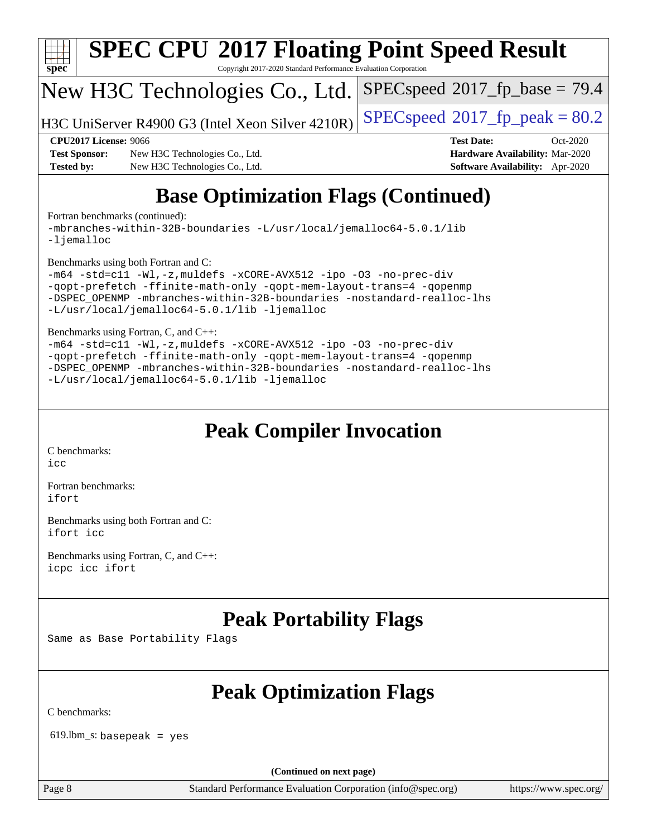

## **[Base Optimization Flags \(Continued\)](http://www.spec.org/auto/cpu2017/Docs/result-fields.html#BaseOptimizationFlags)**

[Fortran benchmarks](http://www.spec.org/auto/cpu2017/Docs/result-fields.html#Fortranbenchmarks) (continued):

[-mbranches-within-32B-boundaries](http://www.spec.org/cpu2017/results/res2020q4/cpu2017-20201027-24318.flags.html#user_FCbase_f-mbranches-within-32B-boundaries) [-L/usr/local/jemalloc64-5.0.1/lib](http://www.spec.org/cpu2017/results/res2020q4/cpu2017-20201027-24318.flags.html#user_FCbase_jemalloc_link_path64_1_cc289568b1a6c0fd3b62c91b824c27fcb5af5e8098e6ad028160d21144ef1b8aef3170d2acf0bee98a8da324cfe4f67d0a3d0c4cc4673d993d694dc2a0df248b) [-ljemalloc](http://www.spec.org/cpu2017/results/res2020q4/cpu2017-20201027-24318.flags.html#user_FCbase_jemalloc_link_lib_d1249b907c500fa1c0672f44f562e3d0f79738ae9e3c4a9c376d49f265a04b9c99b167ecedbf6711b3085be911c67ff61f150a17b3472be731631ba4d0471706)

[Benchmarks using both Fortran and C](http://www.spec.org/auto/cpu2017/Docs/result-fields.html#BenchmarksusingbothFortranandC):

```
-m64 -std=c11 -Wl,-z,muldefs -xCORE-AVX512 -ipo -O3 -no-prec-div
-qopt-prefetch -ffinite-math-only -qopt-mem-layout-trans=4 -qopenmp
-DSPEC_OPENMP -mbranches-within-32B-boundaries -nostandard-realloc-lhs
-L/usr/local/jemalloc64-5.0.1/lib -ljemalloc
```
[Benchmarks using Fortran, C, and C++:](http://www.spec.org/auto/cpu2017/Docs/result-fields.html#BenchmarksusingFortranCandCXX)

```
-m64 -std=c11 -Wl,-z,muldefs -xCORE-AVX512 -ipo -O3 -no-prec-div
-qopt-prefetch -ffinite-math-only -qopt-mem-layout-trans=4 -qopenmp
-DSPEC_OPENMP -mbranches-within-32B-boundaries -nostandard-realloc-lhs
-L/usr/local/jemalloc64-5.0.1/lib -ljemalloc
```
#### **[Peak Compiler Invocation](http://www.spec.org/auto/cpu2017/Docs/result-fields.html#PeakCompilerInvocation)**

[C benchmarks](http://www.spec.org/auto/cpu2017/Docs/result-fields.html#Cbenchmarks): [icc](http://www.spec.org/cpu2017/results/res2020q4/cpu2017-20201027-24318.flags.html#user_CCpeak_intel_icc_66fc1ee009f7361af1fbd72ca7dcefbb700085f36577c54f309893dd4ec40d12360134090235512931783d35fd58c0460139e722d5067c5574d8eaf2b3e37e92)

[Fortran benchmarks](http://www.spec.org/auto/cpu2017/Docs/result-fields.html#Fortranbenchmarks): [ifort](http://www.spec.org/cpu2017/results/res2020q4/cpu2017-20201027-24318.flags.html#user_FCpeak_intel_ifort_8111460550e3ca792625aed983ce982f94888b8b503583aa7ba2b8303487b4d8a21a13e7191a45c5fd58ff318f48f9492884d4413fa793fd88dd292cad7027ca)

[Benchmarks using both Fortran and C](http://www.spec.org/auto/cpu2017/Docs/result-fields.html#BenchmarksusingbothFortranandC): [ifort](http://www.spec.org/cpu2017/results/res2020q4/cpu2017-20201027-24318.flags.html#user_CC_FCpeak_intel_ifort_8111460550e3ca792625aed983ce982f94888b8b503583aa7ba2b8303487b4d8a21a13e7191a45c5fd58ff318f48f9492884d4413fa793fd88dd292cad7027ca) [icc](http://www.spec.org/cpu2017/results/res2020q4/cpu2017-20201027-24318.flags.html#user_CC_FCpeak_intel_icc_66fc1ee009f7361af1fbd72ca7dcefbb700085f36577c54f309893dd4ec40d12360134090235512931783d35fd58c0460139e722d5067c5574d8eaf2b3e37e92)

[Benchmarks using Fortran, C, and C++:](http://www.spec.org/auto/cpu2017/Docs/result-fields.html#BenchmarksusingFortranCandCXX) [icpc](http://www.spec.org/cpu2017/results/res2020q4/cpu2017-20201027-24318.flags.html#user_CC_CXX_FCpeak_intel_icpc_c510b6838c7f56d33e37e94d029a35b4a7bccf4766a728ee175e80a419847e808290a9b78be685c44ab727ea267ec2f070ec5dc83b407c0218cded6866a35d07) [icc](http://www.spec.org/cpu2017/results/res2020q4/cpu2017-20201027-24318.flags.html#user_CC_CXX_FCpeak_intel_icc_66fc1ee009f7361af1fbd72ca7dcefbb700085f36577c54f309893dd4ec40d12360134090235512931783d35fd58c0460139e722d5067c5574d8eaf2b3e37e92) [ifort](http://www.spec.org/cpu2017/results/res2020q4/cpu2017-20201027-24318.flags.html#user_CC_CXX_FCpeak_intel_ifort_8111460550e3ca792625aed983ce982f94888b8b503583aa7ba2b8303487b4d8a21a13e7191a45c5fd58ff318f48f9492884d4413fa793fd88dd292cad7027ca)

#### **[Peak Portability Flags](http://www.spec.org/auto/cpu2017/Docs/result-fields.html#PeakPortabilityFlags)**

Same as Base Portability Flags

### **[Peak Optimization Flags](http://www.spec.org/auto/cpu2017/Docs/result-fields.html#PeakOptimizationFlags)**

[C benchmarks](http://www.spec.org/auto/cpu2017/Docs/result-fields.html#Cbenchmarks):

 $619.$ lbm\_s: basepeak = yes

**(Continued on next page)**

Page 8 Standard Performance Evaluation Corporation [\(info@spec.org\)](mailto:info@spec.org) <https://www.spec.org/>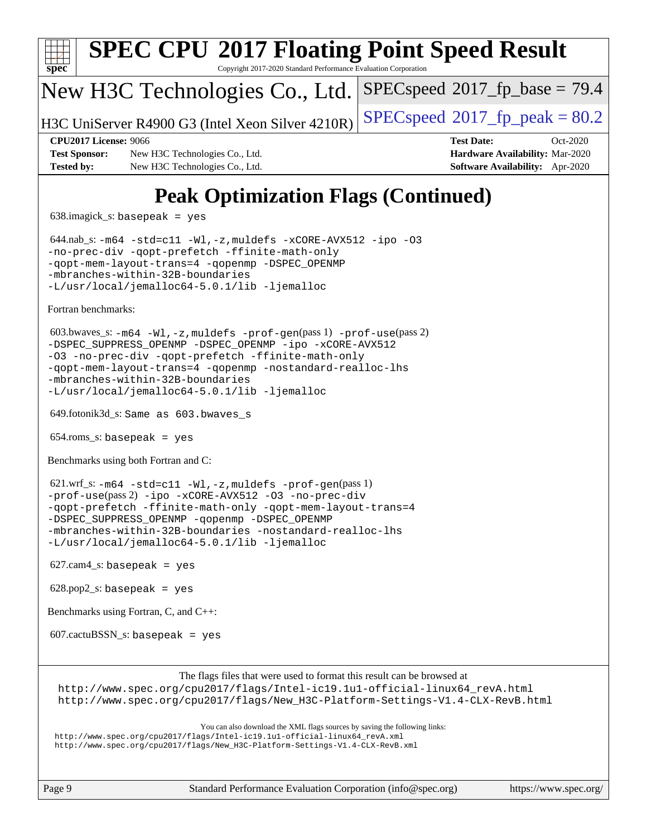

[The flags files that were used to format this result can be browsed at](tmsearch)

[http://www.spec.org/cpu2017/flags/Intel-ic19.1u1-official-linux64\\_revA.html](http://www.spec.org/cpu2017/flags/Intel-ic19.1u1-official-linux64_revA.html) [http://www.spec.org/cpu2017/flags/New\\_H3C-Platform-Settings-V1.4-CLX-RevB.html](http://www.spec.org/cpu2017/flags/New_H3C-Platform-Settings-V1.4-CLX-RevB.html)

[You can also download the XML flags sources by saving the following links:](tmsearch)

[http://www.spec.org/cpu2017/flags/Intel-ic19.1u1-official-linux64\\_revA.xml](http://www.spec.org/cpu2017/flags/Intel-ic19.1u1-official-linux64_revA.xml) [http://www.spec.org/cpu2017/flags/New\\_H3C-Platform-Settings-V1.4-CLX-RevB.xml](http://www.spec.org/cpu2017/flags/New_H3C-Platform-Settings-V1.4-CLX-RevB.xml)

Page 9 Standard Performance Evaluation Corporation [\(info@spec.org\)](mailto:info@spec.org) <https://www.spec.org/>